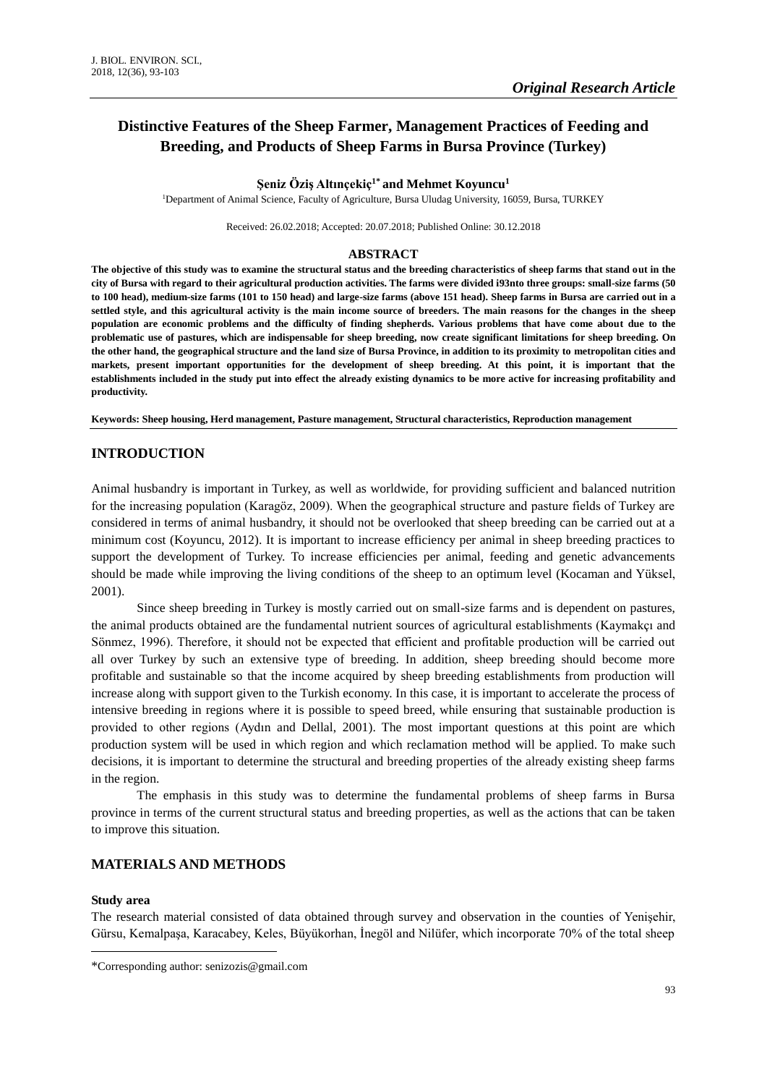# **Distinctive Features of the Sheep Farmer, Management Practices of Feeding and Breeding, and Products of Sheep Farms in Bursa Province (Turkey)**

#### **Şeniz Öziş Altınçekiç1\* and Mehmet Koyuncu<sup>1</sup>**

<sup>1</sup>Department of Animal Science, Faculty of Agriculture, Bursa Uludag University, 16059, Bursa, TURKEY

Received: 26.02.2018; Accepted: 20.07.2018; Published Online: 30.12.2018

### **ABSTRACT**

**The objective of this study was to examine the structural status and the breeding characteristics of sheep farms that stand out in the city of Bursa with regard to their agricultural production activities. The farms were divided i93nto three groups: small-size farms (50 to 100 head), medium-size farms (101 to 150 head) and large-size farms (above 151 head). Sheep farms in Bursa are carried out in a settled style, and this agricultural activity is the main income source of breeders. The main reasons for the changes in the sheep population are economic problems and the difficulty of finding shepherds. Various problems that have come about due to the problematic use of pastures, which are indispensable for sheep breeding, now create significant limitations for sheep breeding. On the other hand, the geographical structure and the land size of Bursa Province, in addition to its proximity to metropolitan cities and markets, present important opportunities for the development of sheep breeding. At this point, it is important that the establishments included in the study put into effect the already existing dynamics to be more active for increasing profitability and productivity.**

**Keywords: Sheep housing, Herd management, Pasture management, Structural characteristics, Reproduction management**

# **INTRODUCTION**

Animal husbandry is important in Turkey, as well as worldwide, for providing sufficient and balanced nutrition for the increasing population (Karagöz, 2009). When the geographical structure and pasture fields of Turkey are considered in terms of animal husbandry, it should not be overlooked that sheep breeding can be carried out at a minimum cost (Koyuncu, 2012). It is important to increase efficiency per animal in sheep breeding practices to support the development of Turkey. To increase efficiencies per animal, feeding and genetic advancements should be made while improving the living conditions of the sheep to an optimum level (Kocaman and Yüksel, 2001).

Since sheep breeding in Turkey is mostly carried out on small-size farms and is dependent on pastures, the animal products obtained are the fundamental nutrient sources of agricultural establishments (Kaymakçı and Sönmez, 1996). Therefore, it should not be expected that efficient and profitable production will be carried out all over Turkey by such an extensive type of breeding. In addition, sheep breeding should become more profitable and sustainable so that the income acquired by sheep breeding establishments from production will increase along with support given to the Turkish economy. In this case, it is important to accelerate the process of intensive breeding in regions where it is possible to speed breed, while ensuring that sustainable production is provided to other regions (Aydın and Dellal, 2001). The most important questions at this point are which production system will be used in which region and which reclamation method will be applied. To make such decisions, it is important to determine the structural and breeding properties of the already existing sheep farms in the region.

The emphasis in this study was to determine the fundamental problems of sheep farms in Bursa province in terms of the current structural status and breeding properties, as well as the actions that can be taken to improve this situation.

# **MATERIALS AND METHODS**

#### **Study area**

 $\overline{a}$ 

The research material consisted of data obtained through survey and observation in the counties of Yenişehir, Gürsu, Kemalpaşa, Karacabey, Keles, Büyükorhan, İnegöl and Nilüfer, which incorporate 70% of the total sheep

<sup>\*</sup>Corresponding author: senizozis@gmail.com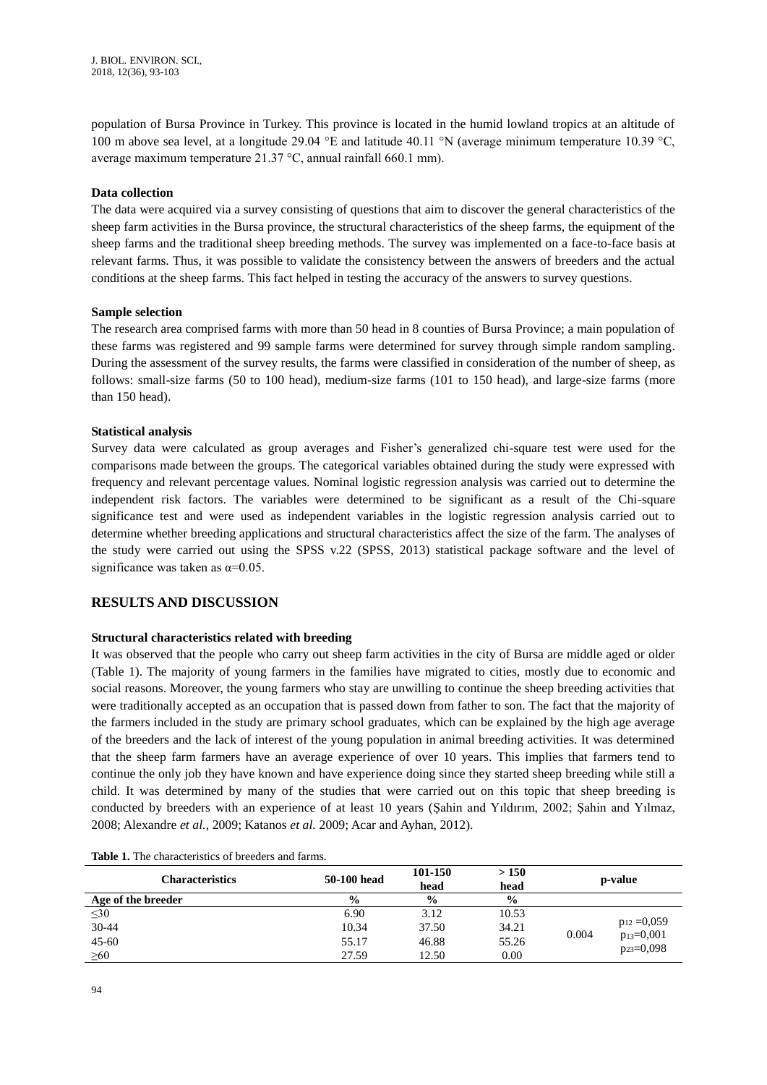population of Bursa Province in Turkey. This province is located in the humid lowland tropics at an altitude of 100 m above sea level, at a longitude 29.04 °E and latitude 40.11 °N (average minimum temperature 10.39 °C, average maximum temperature 21.37 °C, annual rainfall 660.1 mm).

# **Data collection**

The data were acquired via a survey consisting of questions that aim to discover the general characteristics of the sheep farm activities in the Bursa province, the structural characteristics of the sheep farms, the equipment of the sheep farms and the traditional sheep breeding methods. The survey was implemented on a face-to-face basis at relevant farms. Thus, it was possible to validate the consistency between the answers of breeders and the actual conditions at the sheep farms. This fact helped in testing the accuracy of the answers to survey questions.

# **Sample selection**

The research area comprised farms with more than 50 head in 8 counties of Bursa Province; a main population of these farms was registered and 99 sample farms were determined for survey through simple random sampling. During the assessment of the survey results, the farms were classified in consideration of the number of sheep, as follows: small-size farms (50 to 100 head), medium-size farms (101 to 150 head), and large-size farms (more than 150 head).

# **Statistical analysis**

Survey data were calculated as group averages and Fisher's generalized chi-square test were used for the comparisons made between the groups. The categorical variables obtained during the study were expressed with frequency and relevant percentage values. Nominal logistic regression analysis was carried out to determine the independent risk factors. The variables were determined to be significant as a result of the Chi-square significance test and were used as independent variables in the logistic regression analysis carried out to determine whether breeding applications and structural characteristics affect the size of the farm. The analyses of the study were carried out using the SPSS v.22 (SPSS, 2013) statistical package software and the level of significance was taken as  $\alpha$ =0.05.

# **RESULTS AND DISCUSSION**

# **Structural characteristics related with breeding**

It was observed that the people who carry out sheep farm activities in the city of Bursa are middle aged or older (Table 1). The majority of young farmers in the families have migrated to cities, mostly due to economic and social reasons. Moreover, the young farmers who stay are unwilling to continue the sheep breeding activities that were traditionally accepted as an occupation that is passed down from father to son. The fact that the majority of the farmers included in the study are primary school graduates, which can be explained by the high age average of the breeders and the lack of interest of the young population in animal breeding activities. It was determined that the sheep farm farmers have an average experience of over 10 years. This implies that farmers tend to continue the only job they have known and have experience doing since they started sheep breeding while still a child. It was determined by many of the studies that were carried out on this topic that sheep breeding is conducted by breeders with an experience of at least 10 years (Şahin and Yıldırım, 2002; Şahin and Yılmaz, 2008; Alexandre *et al.*, 2009; Katanos *et al.* 2009; Acar and Ayhan, 2012).

| Characteristics    | 50-100 head   | 101-150<br>head | >150<br>head  | p-value                 |
|--------------------|---------------|-----------------|---------------|-------------------------|
| Age of the breeder | $\frac{6}{6}$ | $\frac{0}{0}$   | $\frac{0}{0}$ |                         |
| $\leq 30$          | 6.90          | 3.12            | 10.53         |                         |
| 30-44              | 10.34         | 37.50           | 34.21         | $p_{12} = 0.059$        |
| $45 - 60$          | 55.17         | 46.88           | 55.26         | 0.004<br>$p_{13}=0,001$ |
| $\geq 60$          | 27.59         | 12.50           | 0.00          | $p_{23}=0,098$          |

| <b>Table 1.</b> The characteristics of breeders and farms. |  |
|------------------------------------------------------------|--|
|------------------------------------------------------------|--|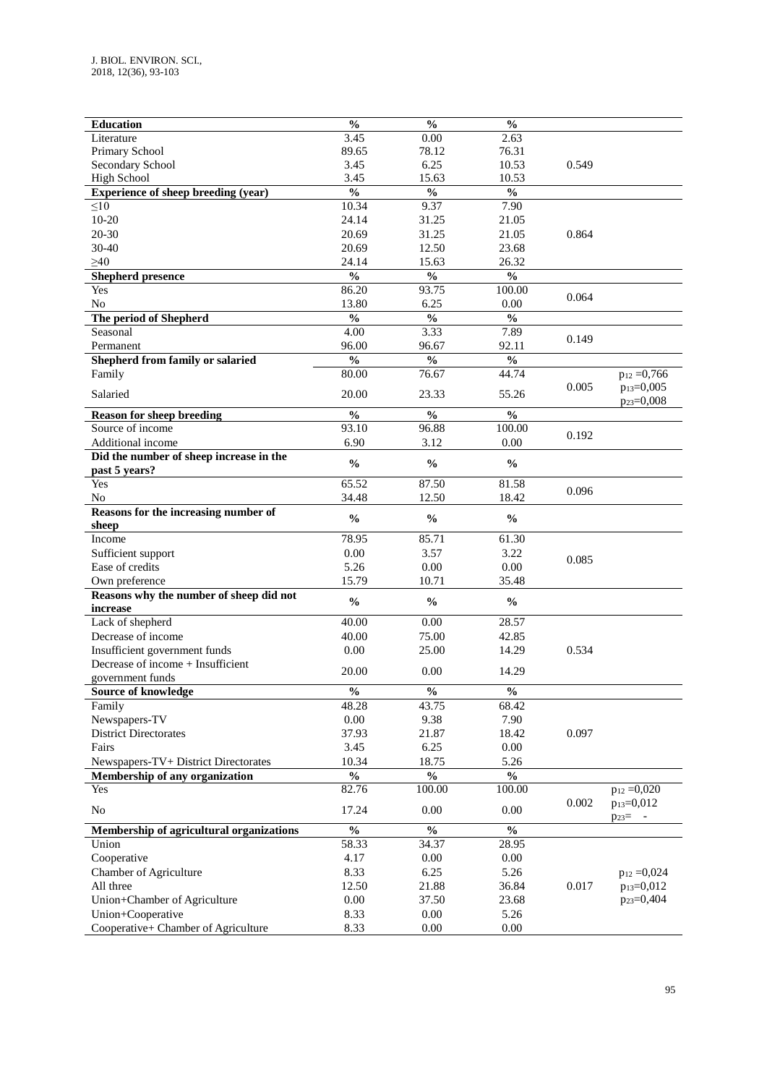| <b>Education</b>                         | $\overline{\frac{0}{0}}$           | $\overline{\frac{0}{0}}$           | $\overline{\frac{0}{0}}$           |       |                        |
|------------------------------------------|------------------------------------|------------------------------------|------------------------------------|-------|------------------------|
| Literature                               | 3.45                               | 0.00                               | 2.63                               |       |                        |
| Primary School                           | 89.65                              | 78.12                              | 76.31                              |       |                        |
| Secondary School                         | 3.45                               | 6.25                               | 10.53                              | 0.549 |                        |
| <b>High School</b>                       | 3.45                               | 15.63                              | 10.53                              |       |                        |
| Experience of sheep breeding (year)      | $\frac{0}{0}$                      | $\frac{0}{0}$                      | $\frac{0}{0}$                      |       |                        |
| $\leq 10$                                | 10.34                              | 9.37                               | 7.90                               |       |                        |
| $10 - 20$                                | 24.14                              | 31.25                              | 21.05                              |       |                        |
| 20-30                                    | 20.69                              | 31.25                              | 21.05                              | 0.864 |                        |
| 30-40                                    | 20.69                              | 12.50                              | 23.68                              |       |                        |
|                                          |                                    |                                    |                                    |       |                        |
| $\geq 40$                                | 24.14                              | 15.63                              | 26.32                              |       |                        |
| <b>Shepherd presence</b>                 | $\mathbf{0}_{\mathbf{0}}^{\prime}$ | $\mathbf{0}_{\mathbf{0}}^{\prime}$ | $\frac{0}{0}$                      |       |                        |
| Yes                                      | 86.20                              | 93.75                              | 100.00                             | 0.064 |                        |
| N <sub>0</sub>                           | 13.80                              | 6.25                               | 0.00                               |       |                        |
| The period of Shepherd                   | $\frac{0}{0}$                      | $\frac{0}{0}$                      | $\frac{0}{0}$                      |       |                        |
| Seasonal                                 | 4.00                               | 3.33                               | 7.89                               |       |                        |
| Permanent                                | 96.00                              | 96.67                              | 92.11                              | 0.149 |                        |
| Shepherd from family or salaried         | $\frac{0}{0}$                      | $\frac{0}{6}$                      | $\mathbf{0}_{\mathbf{0}}^{\prime}$ |       |                        |
|                                          | 80.00                              | 76.67                              | 44.74                              |       | $p_{12} = 0,766$       |
| Family                                   |                                    |                                    |                                    |       |                        |
| Salaried                                 | 20.00                              | 23.33                              | 55.26                              | 0.005 | p <sub>13</sub> =0,005 |
|                                          |                                    |                                    |                                    |       | $p_{23}=0,008$         |
| <b>Reason for sheep breeding</b>         | $\frac{0}{0}$                      | $\frac{0}{0}$                      | $\frac{0}{0}$                      |       |                        |
| Source of income                         | 93.10                              | 96.88                              | 100.00                             | 0.192 |                        |
| Additional income                        | 6.90                               | 3.12                               | 0.00                               |       |                        |
| Did the number of sheep increase in the  |                                    |                                    |                                    |       |                        |
| past 5 years?                            | $\frac{0}{0}$                      | $\frac{0}{0}$                      | $\frac{0}{0}$                      |       |                        |
| Yes                                      | 65.52                              | 87.50                              | 81.58                              |       |                        |
| N <sub>0</sub>                           | 34.48                              | 12.50                              | 18.42                              | 0.096 |                        |
| Reasons for the increasing number of     |                                    |                                    |                                    |       |                        |
|                                          | $\frac{0}{0}$                      | $\frac{0}{0}$                      | $\frac{0}{0}$                      |       |                        |
| sheep                                    |                                    |                                    |                                    |       |                        |
| Income                                   | 78.95                              | 85.71                              | 61.30                              |       |                        |
| Sufficient support                       | 0.00                               | 3.57                               | 3.22                               | 0.085 |                        |
| Ease of credits                          | 5.26                               | 0.00                               | 0.00                               |       |                        |
| Own preference                           | 15.79                              | 10.71                              | 35.48                              |       |                        |
| Reasons why the number of sheep did not  | $\frac{0}{0}$                      | $\frac{0}{0}$                      | $\frac{0}{0}$                      |       |                        |
| increase                                 |                                    |                                    |                                    |       |                        |
| Lack of shepherd                         | 40.00                              | 0.00                               | 28.57                              |       |                        |
| Decrease of income                       | 40.00                              | 75.00                              | 42.85                              |       |                        |
| Insufficient government funds            | 0.00                               | 25.00                              | 14.29                              | 0.534 |                        |
| Decrease of income + Insufficient        |                                    |                                    |                                    |       |                        |
| government funds                         | 20.00                              | 0.00                               | 14.29                              |       |                        |
|                                          |                                    |                                    |                                    |       |                        |
| Source of knowledge                      | $\mathbf{O}_\mathbf{0}$            | $\frac{0}{6}$                      | $\frac{1}{2}$                      |       |                        |
| Family                                   | 48.28                              | 43.75                              | 68.42                              |       |                        |
| Newspapers-TV                            | $0.00\,$                           | 9.38                               | 7.90                               |       |                        |
| <b>District Directorates</b>             | 37.93                              | 21.87                              | 18.42                              | 0.097 |                        |
| Fairs                                    | 3.45                               | 6.25                               | $0.00\,$                           |       |                        |
| Newspapers-TV+ District Directorates     | 10.34                              | 18.75                              | 5.26                               |       |                        |
| Membership of any organization           | $\overline{\frac{0}{6}}$           | $\frac{0}{6}$                      | $\overline{\frac{0}{0}}$           |       |                        |
| Yes                                      | 82.76                              | 100.00                             | 100.00                             |       | $p_{12} = 0,020$       |
|                                          |                                    |                                    |                                    | 0.002 | p <sub>13</sub> =0,012 |
| $\rm No$                                 | 17.24                              | 0.00                               | 0.00                               |       | $p_{23} = -$           |
| Membership of agricultural organizations | $\overline{\frac{0}{0}}$           | $\overline{\frac{0}{0}}$           | $\overline{\frac{0}{0}}$           |       |                        |
|                                          | 58.33                              | 34.37                              | 28.95                              |       |                        |
| Union                                    |                                    |                                    |                                    |       |                        |
| Cooperative                              | 4.17                               | $0.00\,$                           | $0.00\,$                           |       |                        |
| Chamber of Agriculture                   | 8.33                               | 6.25                               | 5.26                               |       | $p_{12} = 0,024$       |
| All three                                | 12.50                              | 21.88                              | 36.84                              | 0.017 | p <sub>13</sub> =0,012 |
| Union+Chamber of Agriculture             | $0.00\,$                           | 37.50                              | 23.68                              |       | p <sub>23</sub> =0,404 |
| Union+Cooperative                        | 8.33                               | $0.00\,$                           | 5.26                               |       |                        |
| Cooperative+ Chamber of Agriculture      | 8.33                               | $0.00\,$                           | $0.00\,$                           |       |                        |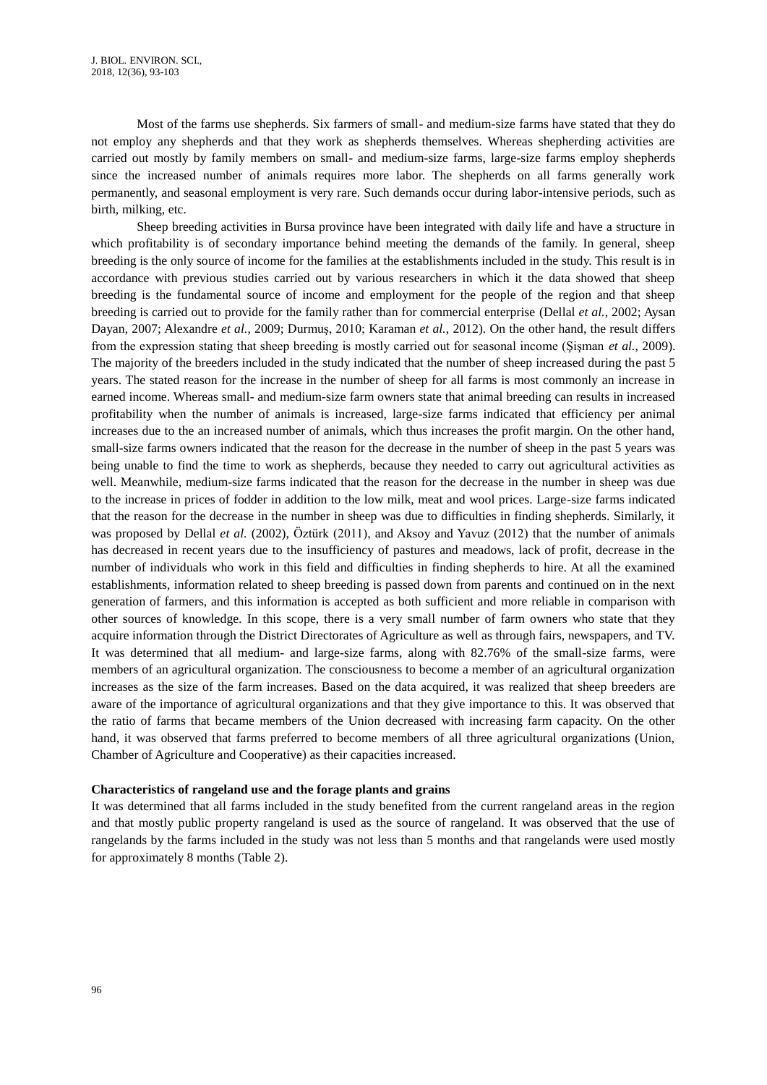Most of the farms use shepherds. Six farmers of small- and medium-size farms have stated that they do not employ any shepherds and that they work as shepherds themselves. Whereas shepherding activities are carried out mostly by family members on small- and medium-size farms, large-size farms employ shepherds since the increased number of animals requires more labor. The shepherds on all farms generally work permanently, and seasonal employment is very rare. Such demands occur during labor-intensive periods, such as birth, milking, etc.

Sheep breeding activities in Bursa province have been integrated with daily life and have a structure in which profitability is of secondary importance behind meeting the demands of the family. In general, sheep breeding is the only source of income for the families at the establishments included in the study. This result is in accordance with previous studies carried out by various researchers in which it the data showed that sheep breeding is the fundamental source of income and employment for the people of the region and that sheep breeding is carried out to provide for the family rather than for commercial enterprise (Dellal *et al.*, 2002; Aysan Dayan, 2007; Alexandre *et al.*, 2009; Durmuş, 2010; Karaman *et al.*, 2012). On the other hand, the result differs from the expression stating that sheep breeding is mostly carried out for seasonal income (Şişman *et al.*, 2009). The majority of the breeders included in the study indicated that the number of sheep increased during the past 5 years. The stated reason for the increase in the number of sheep for all farms is most commonly an increase in earned income. Whereas small- and medium-size farm owners state that animal breeding can results in increased profitability when the number of animals is increased, large-size farms indicated that efficiency per animal increases due to the an increased number of animals, which thus increases the profit margin. On the other hand, small-size farms owners indicated that the reason for the decrease in the number of sheep in the past 5 years was being unable to find the time to work as shepherds, because they needed to carry out agricultural activities as well. Meanwhile, medium-size farms indicated that the reason for the decrease in the number in sheep was due to the increase in prices of fodder in addition to the low milk, meat and wool prices. Large-size farms indicated that the reason for the decrease in the number in sheep was due to difficulties in finding shepherds. Similarly, it was proposed by Dellal *et al.* (2002), Öztürk (2011), and Aksoy and Yavuz (2012) that the number of animals has decreased in recent years due to the insufficiency of pastures and meadows, lack of profit, decrease in the number of individuals who work in this field and difficulties in finding shepherds to hire. At all the examined establishments, information related to sheep breeding is passed down from parents and continued on in the next generation of farmers, and this information is accepted as both sufficient and more reliable in comparison with other sources of knowledge. In this scope, there is a very small number of farm owners who state that they acquire information through the District Directorates of Agriculture as well as through fairs, newspapers, and TV. It was determined that all medium- and large-size farms, along with 82.76% of the small-size farms, were members of an agricultural organization. The consciousness to become a member of an agricultural organization increases as the size of the farm increases. Based on the data acquired, it was realized that sheep breeders are aware of the importance of agricultural organizations and that they give importance to this. It was observed that the ratio of farms that became members of the Union decreased with increasing farm capacity. On the other hand, it was observed that farms preferred to become members of all three agricultural organizations (Union, Chamber of Agriculture and Cooperative) as their capacities increased.

#### **Characteristics of rangeland use and the forage plants and grains**

It was determined that all farms included in the study benefited from the current rangeland areas in the region and that mostly public property rangeland is used as the source of rangeland. It was observed that the use of rangelands by the farms included in the study was not less than 5 months and that rangelands were used mostly for approximately 8 months (Table 2).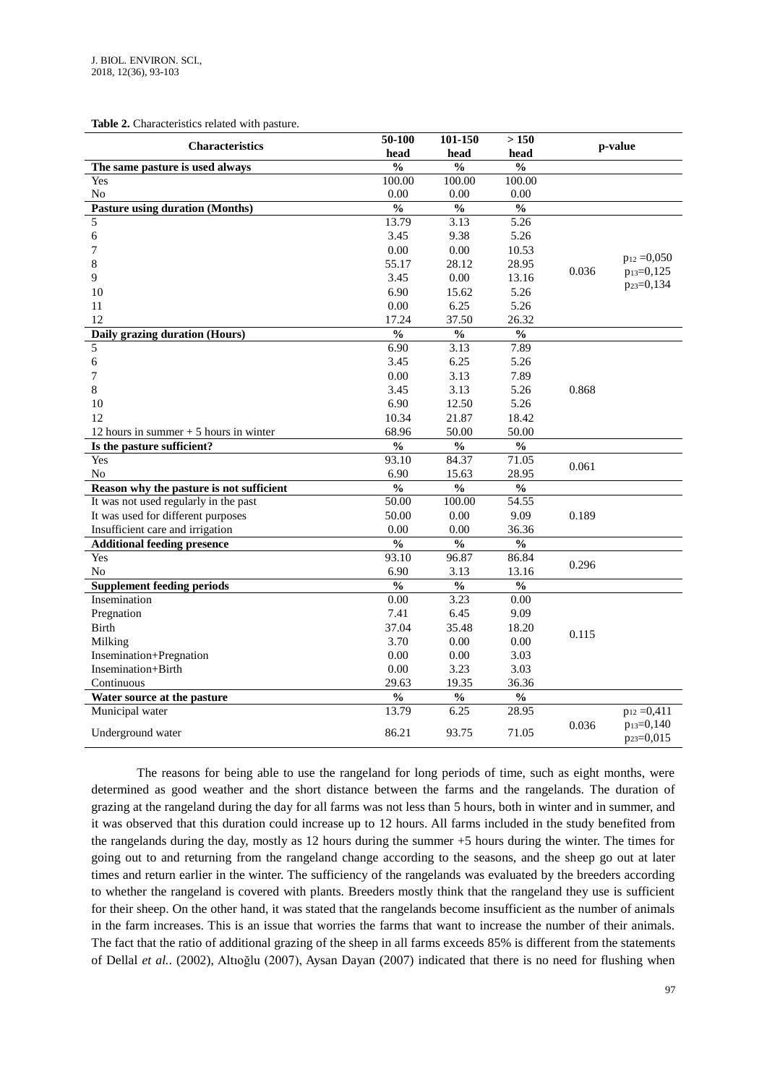**Table 2.** Characteristics related with pasture.

| <b>Characteristics</b>                   | 50-100                             | 101-150                            | >150              |       | p-value                                          |
|------------------------------------------|------------------------------------|------------------------------------|-------------------|-------|--------------------------------------------------|
|                                          | head                               | head                               | head              |       |                                                  |
| The same pasture is used always          | $\overline{\frac{0}{0}}$           | $\frac{0}{0}$                      | $\frac{0}{0}$     |       |                                                  |
| Yes                                      | 100.00                             | 100.00                             | 100.00            |       |                                                  |
| No                                       | 0.00                               | 0.00                               | 0.00              |       |                                                  |
| <b>Pasture using duration (Months)</b>   | $\overline{\frac{0}{0}}$           | $\mathbf{0}_{\mathbf{0}}^{\prime}$ | $\frac{0}{6}$     |       |                                                  |
| 5                                        | 13.79                              | 3.13                               | 5.26              |       |                                                  |
| 6                                        | 3.45                               | 9.38                               | 5.26              |       |                                                  |
| 7                                        | 0.00                               | 0.00                               | 10.53             |       | $p_{12} = 0,050$                                 |
| 8                                        | 55.17                              | 28.12                              | 28.95             | 0.036 | $p_{13}=0,125$                                   |
| 9                                        | 3.45                               | 0.00                               | 13.16             |       | $p_{23}=0,134$                                   |
| 10                                       | 6.90                               | 15.62                              | 5.26              |       |                                                  |
| 11                                       | 0.00                               | 6.25                               | 5.26              |       |                                                  |
| 12                                       | 17.24                              | 37.50                              | 26.32             |       |                                                  |
| Daily grazing duration (Hours)           | $\overline{\frac{0}{0}}$           | $\overline{\frac{0}{0}}$           | $\frac{0}{6}$     |       |                                                  |
| 5                                        | 6.90                               | 3.13                               | 7.89              |       |                                                  |
| $\sqrt{6}$                               | 3.45                               | 6.25                               | 5.26              |       |                                                  |
| 7                                        | 0.00                               | 3.13                               | 7.89              |       |                                                  |
| 8                                        | 3.45                               | 3.13                               | 5.26              | 0.868 |                                                  |
| 10                                       | 6.90                               | 12.50                              | 5.26              |       |                                                  |
| 12                                       | 10.34                              | 21.87                              | 18.42             |       |                                                  |
| 12 hours in summer $+5$ hours in winter  | 68.96                              | 50.00                              | 50.00             |       |                                                  |
| Is the pasture sufficient?               | $\frac{0}{0}$                      | $\frac{0}{0}$                      | $\frac{0}{0}$     |       |                                                  |
| Yes                                      | 93.10                              | 84.37                              | 71.05             | 0.061 |                                                  |
| No                                       | 6.90                               | 15.63                              | 28.95             |       |                                                  |
| Reason why the pasture is not sufficient | $\overline{\frac{0}{0}}$           | $\frac{0}{0}$                      | $\frac{0}{0}$     |       |                                                  |
| It was not used regularly in the past    | 50.00                              | 100.00                             | 54.55             |       |                                                  |
| It was used for different purposes       | 50.00                              | 0.00                               | 9.09              | 0.189 |                                                  |
| Insufficient care and irrigation         | 0.00                               | 0.00                               | 36.36             |       |                                                  |
| <b>Additional feeding presence</b>       | $\overline{\frac{0}{0}}$           | $\overline{\frac{0}{0}}$           | $\frac{0}{0}$     |       |                                                  |
| Yes                                      | 93.10                              | 96.87                              | 86.84             | 0.296 |                                                  |
| No                                       | 6.90                               | 3.13                               | 13.16             |       |                                                  |
| <b>Supplement feeding periods</b>        | $\frac{0}{6}$                      | $\frac{0}{6}$                      | $\frac{0}{0}$     |       |                                                  |
| Insemination                             | 0.00                               | 3.23                               | $\overline{0.00}$ |       |                                                  |
| Pregnation                               | 7.41                               | 6.45                               | 9.09              |       |                                                  |
| Birth                                    | 37.04                              | 35.48                              | 18.20             |       |                                                  |
| Milking                                  | 3.70                               | 0.00                               | 0.00              | 0.115 |                                                  |
| Insemination+Pregnation                  | 0.00                               | 0.00                               | 3.03              |       |                                                  |
| Insemination+Birth                       | 0.00                               | 3.23                               | 3.03              |       |                                                  |
| Continuous                               | 29.63                              | 19.35                              | 36.36             |       |                                                  |
| Water source at the pasture              | $\mathbf{0}_{\mathbf{0}}^{\prime}$ | $\mathbf{0}_{\mathbf{0}}^{\prime}$ | $\frac{0}{6}$     |       |                                                  |
| Municipal water                          | 13.79                              | 6.25                               | 28.95             |       | $p_{12} = 0,411$                                 |
| Underground water                        | 86.21                              | 93.75                              | 71.05             | 0.036 | p <sub>13</sub> =0,140<br>p <sub>23</sub> =0,015 |

The reasons for being able to use the rangeland for long periods of time, such as eight months, were determined as good weather and the short distance between the farms and the rangelands. The duration of grazing at the rangeland during the day for all farms was not less than 5 hours, both in winter and in summer, and it was observed that this duration could increase up to 12 hours. All farms included in the study benefited from the rangelands during the day, mostly as 12 hours during the summer +5 hours during the winter. The times for going out to and returning from the rangeland change according to the seasons, and the sheep go out at later times and return earlier in the winter. The sufficiency of the rangelands was evaluated by the breeders according to whether the rangeland is covered with plants. Breeders mostly think that the rangeland they use is sufficient for their sheep. On the other hand, it was stated that the rangelands become insufficient as the number of animals in the farm increases. This is an issue that worries the farms that want to increase the number of their animals. The fact that the ratio of additional grazing of the sheep in all farms exceeds 85% is different from the statements of Dellal *et al.*. (2002), Altıoğlu (2007), Aysan Dayan (2007) indicated that there is no need for flushing when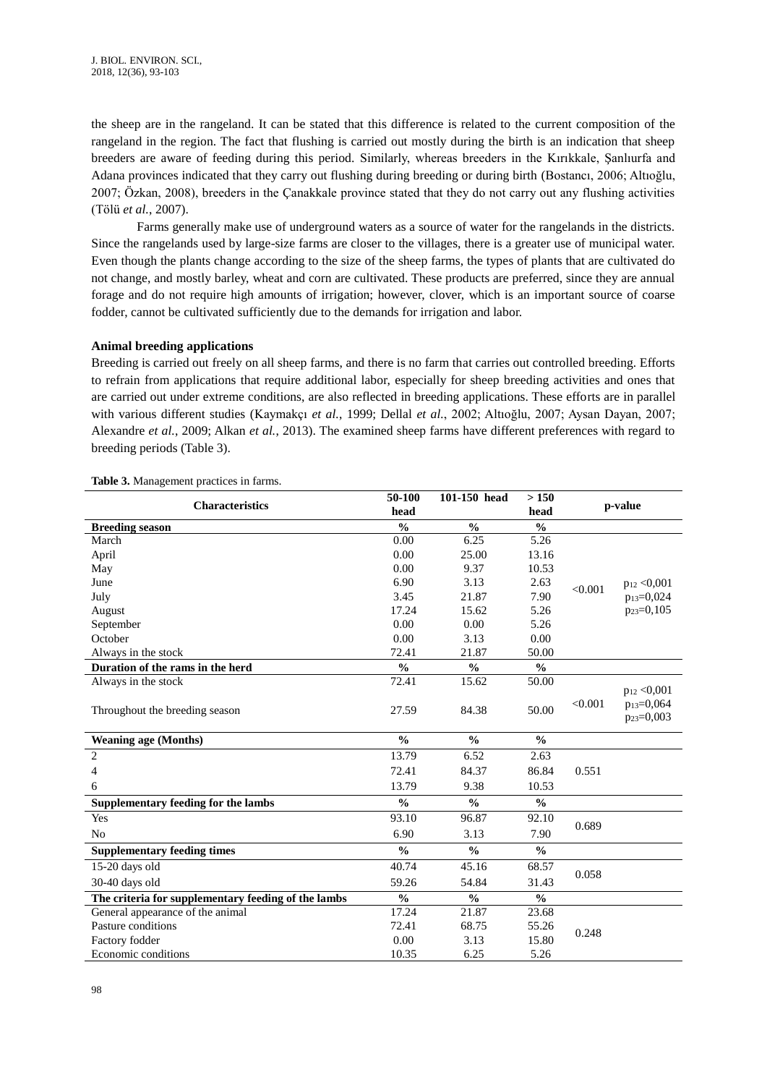the sheep are in the rangeland. It can be stated that this difference is related to the current composition of the rangeland in the region. The fact that flushing is carried out mostly during the birth is an indication that sheep breeders are aware of feeding during this period. Similarly, whereas breeders in the Kırıkkale, Şanlıurfa and Adana provinces indicated that they carry out flushing during breeding or during birth (Bostancı, 2006; Altıoğlu, 2007; Özkan, 2008), breeders in the Çanakkale province stated that they do not carry out any flushing activities (Tölü *et al.*, 2007).

Farms generally make use of underground waters as a source of water for the rangelands in the districts. Since the rangelands used by large-size farms are closer to the villages, there is a greater use of municipal water. Even though the plants change according to the size of the sheep farms, the types of plants that are cultivated do not change, and mostly barley, wheat and corn are cultivated. These products are preferred, since they are annual forage and do not require high amounts of irrigation; however, clover, which is an important source of coarse fodder, cannot be cultivated sufficiently due to the demands for irrigation and labor.

### **Animal breeding applications**

Breeding is carried out freely on all sheep farms, and there is no farm that carries out controlled breeding. Efforts to refrain from applications that require additional labor, especially for sheep breeding activities and ones that are carried out under extreme conditions, are also reflected in breeding applications. These efforts are in parallel with various different studies (Kaymakçı *et al.*, 1999; Dellal *et al.*, 2002; Altıoğlu, 2007; Aysan Dayan, 2007; Alexandre *et al.*, 2009; Alkan *et al.*, 2013). The examined sheep farms have different preferences with regard to breeding periods (Table 3).

| <b>Characteristics</b>                              | 50-100<br>head | 101-150 head                       | >150<br>head  |         | p-value                                                      |
|-----------------------------------------------------|----------------|------------------------------------|---------------|---------|--------------------------------------------------------------|
| <b>Breeding season</b>                              | $\frac{0}{0}$  | $\frac{0}{0}$                      | $\frac{0}{0}$ |         |                                                              |
| March                                               | 0.00           | 6.25                               | 5.26          |         |                                                              |
| April                                               | 0.00           | 25.00                              | 13.16         |         |                                                              |
| May                                                 | 0.00           | 9.37                               | 10.53         |         |                                                              |
| June                                                | 6.90           | 3.13                               | 2.63          | < 0.001 | $p_{12} < 0,001$                                             |
| July                                                | 3.45           | 21.87                              | 7.90          |         | $p_{13}=0,024$                                               |
| August                                              | 17.24          | 15.62                              | 5.26          |         | p <sub>23</sub> =0,105                                       |
| September                                           | 0.00           | 0.00                               | 5.26          |         |                                                              |
| October                                             | 0.00           | 3.13                               | 0.00          |         |                                                              |
| Always in the stock                                 | 72.41          | 21.87                              | 50.00         |         |                                                              |
| Duration of the rams in the herd                    | $\frac{0}{0}$  | $\frac{0}{0}$                      | $\frac{0}{0}$ |         |                                                              |
| Always in the stock                                 | 72.41          | 15.62                              | 50.00         |         |                                                              |
| Throughout the breeding season                      | 27.59          | 84.38                              | 50.00         | < 0.001 | $p_{12} < 0,001$<br>$p_{13}=0,064$<br>p <sub>23</sub> =0,003 |
| <b>Weaning age (Months)</b>                         | $\frac{0}{0}$  | $\frac{0}{0}$                      | $\frac{0}{0}$ |         |                                                              |
| $\mathbf{2}$                                        | 13.79          | 6.52                               | 2.63          |         |                                                              |
| 4                                                   | 72.41          | 84.37                              | 86.84         | 0.551   |                                                              |
| 6                                                   | 13.79          | 9.38                               | 10.53         |         |                                                              |
| Supplementary feeding for the lambs                 | $\frac{0}{0}$  | $\frac{0}{0}$                      | $\frac{0}{0}$ |         |                                                              |
| Yes                                                 | 93.10          | 96.87                              | 92.10         |         |                                                              |
| N <sub>o</sub>                                      | 6.90           | 3.13                               | 7.90          | 0.689   |                                                              |
| <b>Supplementary feeding times</b>                  | $\frac{0}{0}$  | $\frac{0}{0}$                      | $\frac{0}{0}$ |         |                                                              |
| 15-20 days old                                      | 40.74          | 45.16                              | 68.57         | 0.058   |                                                              |
| 30-40 days old                                      | 59.26          | 54.84                              | 31.43         |         |                                                              |
| The criteria for supplementary feeding of the lambs | $\frac{0}{0}$  | $\mathbf{0}_{\mathbf{0}}^{\prime}$ | $\frac{0}{0}$ |         |                                                              |
| General appearance of the animal                    | 17.24          | 21.87                              | 23.68         |         |                                                              |
| Pasture conditions                                  | 72.41          | 68.75                              | 55.26         | 0.248   |                                                              |
| Factory fodder                                      | 0.00           | 3.13                               | 15.80         |         |                                                              |
| Economic conditions                                 | 10.35          | 6.25                               | 5.26          |         |                                                              |

**Table 3.** Management practices in farms.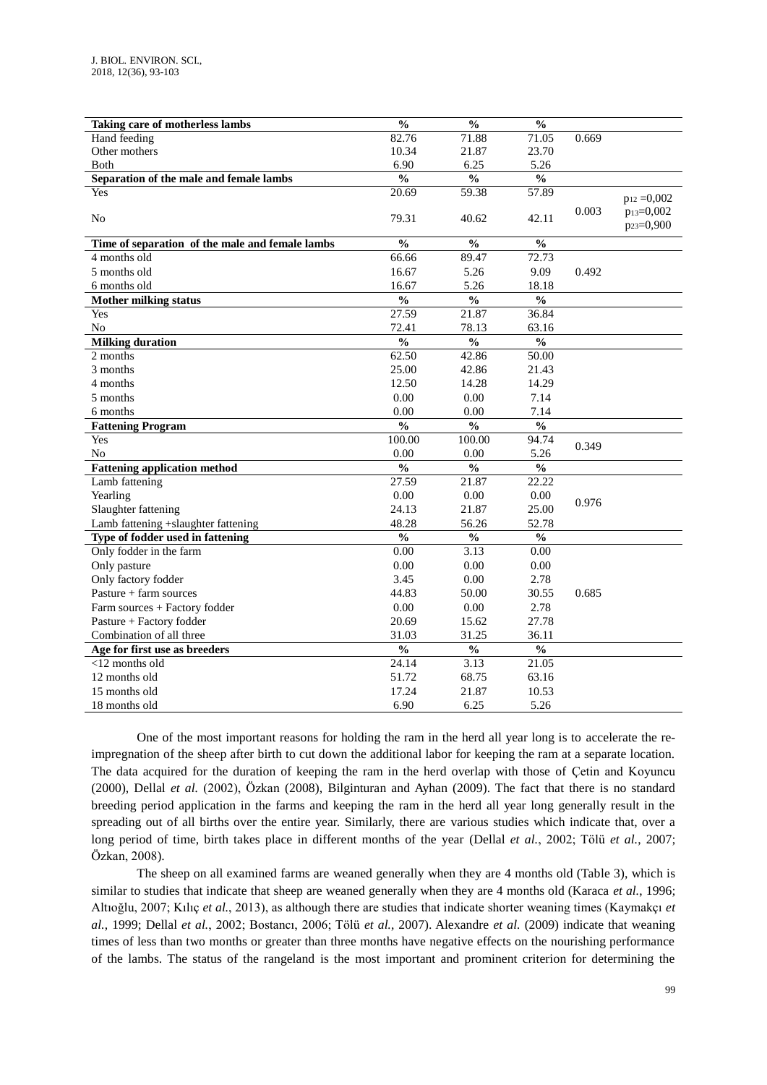| Taking care of motherless lambs                 | $\frac{0}{0}$            | $\frac{0}{0}$            | $\overline{\frac{0}{0}}$ |       |                                                  |
|-------------------------------------------------|--------------------------|--------------------------|--------------------------|-------|--------------------------------------------------|
| Hand feeding                                    | 82.76                    | 71.88                    | 71.05                    | 0.669 |                                                  |
| Other mothers                                   | 10.34                    | 21.87                    | 23.70                    |       |                                                  |
| <b>B</b> oth                                    | 6.90                     | 6.25                     | 5.26                     |       |                                                  |
| Separation of the male and female lambs         | $\overline{\frac{0}{0}}$ | $\overline{\frac{0}{0}}$ | $\frac{0}{0}$            |       |                                                  |
| Yes                                             | 20.69                    | 59.38                    | 57.89                    |       |                                                  |
|                                                 |                          |                          |                          |       | $p_{12} = 0,002$                                 |
| N <sub>o</sub>                                  | 79.31                    | 40.62                    | 42.11                    | 0.003 | p <sub>13</sub> =0,002<br>p <sub>23</sub> =0,900 |
| Time of separation of the male and female lambs | $\frac{0}{0}$            | $\frac{0}{0}$            | $\frac{0}{0}$            |       |                                                  |
| 4 months old                                    | 66.66                    | 89.47                    | 72.73                    |       |                                                  |
| 5 months old                                    | 16.67                    | 5.26                     | 9.09                     | 0.492 |                                                  |
| 6 months old                                    | 16.67                    | 5.26                     | 18.18                    |       |                                                  |
| <b>Mother milking status</b>                    | $\overline{\frac{0}{0}}$ | $\overline{\frac{0}{0}}$ | $\overline{\frac{0}{0}}$ |       |                                                  |
| Yes                                             | 27.59                    | 21.87                    | 36.84                    |       |                                                  |
| N <sub>0</sub>                                  | 72.41                    | 78.13                    | 63.16                    |       |                                                  |
| <b>Milking duration</b>                         | $\frac{0}{0}$            | $\frac{0}{0}$            | $\frac{0}{0}$            |       |                                                  |
| 2 months                                        | 62.50                    | 42.86                    | 50.00                    |       |                                                  |
| 3 months                                        | 25.00                    | 42.86                    | 21.43                    |       |                                                  |
| 4 months                                        | 12.50                    | 14.28                    | 14.29                    |       |                                                  |
| 5 months                                        | 0.00                     | 0.00                     | 7.14                     |       |                                                  |
| 6 months                                        | 0.00                     | 0.00                     | 7.14                     |       |                                                  |
| <b>Fattening Program</b>                        | $\frac{0}{0}$            | $\frac{0}{0}$            | $\overline{\frac{0}{0}}$ |       |                                                  |
| Yes                                             | 100.00                   | 100.00                   | 94.74                    |       |                                                  |
| N <sub>o</sub>                                  | 0.00                     | 0.00                     | 5.26                     | 0.349 |                                                  |
| <b>Fattening application method</b>             | $\frac{0}{0}$            | $\frac{0}{0}$            | $\frac{0}{0}$            |       |                                                  |
| Lamb fattening                                  | 27.59                    | 21.87                    | 22.22                    |       |                                                  |
| Yearling                                        | 0.00                     | 0.00                     | 0.00                     |       |                                                  |
| Slaughter fattening                             | 24.13                    | 21.87                    | 25.00                    | 0.976 |                                                  |
| Lamb fattening +slaughter fattening             | 48.28                    | 56.26                    | 52.78                    |       |                                                  |
| Type of fodder used in fattening                | $\frac{0}{0}$            | $\frac{0}{0}$            | $\frac{0}{0}$            |       |                                                  |
| Only fodder in the farm                         | 0.00                     | 3.13                     | 0.00                     |       |                                                  |
| Only pasture                                    | 0.00                     | 0.00                     | 0.00                     |       |                                                  |
| Only factory fodder                             | 3.45                     | 0.00                     | 2.78                     |       |                                                  |
| Pasture $+$ farm sources                        | 44.83                    | 50.00                    | 30.55                    | 0.685 |                                                  |
| Farm sources + Factory fodder                   | 0.00                     | 0.00                     | 2.78                     |       |                                                  |
| Pasture + Factory fodder                        | 20.69                    | 15.62                    | 27.78                    |       |                                                  |
| Combination of all three                        | 31.03                    | 31.25                    | 36.11                    |       |                                                  |
| Age for first use as breeders                   | $\overline{\frac{0}{0}}$ | $\frac{0}{6}$            | $\overline{\frac{0}{0}}$ |       |                                                  |
| $<$ 12 months old                               | 24.14                    | 3.13                     | 21.05                    |       |                                                  |
| 12 months old                                   | 51.72                    | 68.75                    | 63.16                    |       |                                                  |
| 15 months old                                   | 17.24                    | 21.87                    | 10.53                    |       |                                                  |
| 18 months old                                   | 6.90                     | 6.25                     | 5.26                     |       |                                                  |

One of the most important reasons for holding the ram in the herd all year long is to accelerate the reimpregnation of the sheep after birth to cut down the additional labor for keeping the ram at a separate location. The data acquired for the duration of keeping the ram in the herd overlap with those of Çetin and Koyuncu (2000), Dellal *et al.* (2002), Özkan (2008), Bilginturan and Ayhan (2009). The fact that there is no standard breeding period application in the farms and keeping the ram in the herd all year long generally result in the spreading out of all births over the entire year. Similarly, there are various studies which indicate that, over a long period of time, birth takes place in different months of the year (Dellal *et al.*, 2002; Tölü *et al.*, 2007; Özkan, 2008).

The sheep on all examined farms are weaned generally when they are 4 months old (Table 3), which is similar to studies that indicate that sheep are weaned generally when they are 4 months old (Karaca *et al.*, 1996; Altıoğlu, 2007; Kılıç *et al.*, 2013), as although there are studies that indicate shorter weaning times (Kaymakçı *et al.*, 1999; Dellal *et al.*, 2002; Bostancı, 2006; Tölü *et al.*, 2007). Alexandre *et al.* (2009) indicate that weaning times of less than two months or greater than three months have negative effects on the nourishing performance of the lambs. The status of the rangeland is the most important and prominent criterion for determining the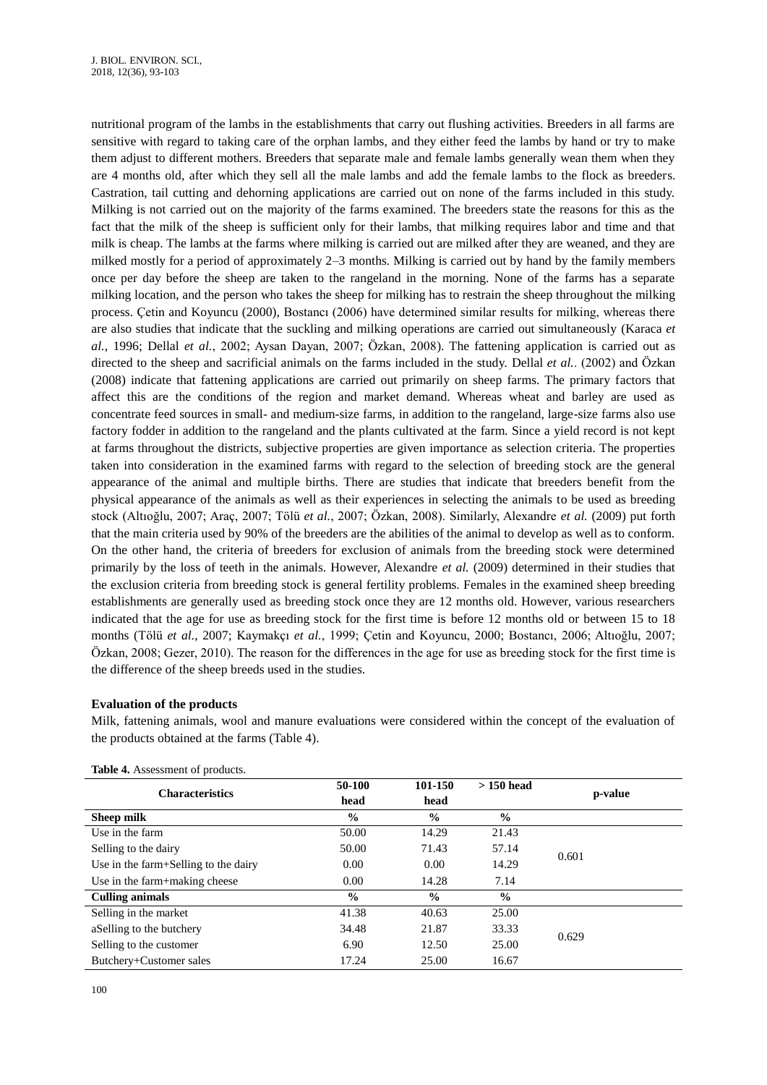nutritional program of the lambs in the establishments that carry out flushing activities. Breeders in all farms are sensitive with regard to taking care of the orphan lambs, and they either feed the lambs by hand or try to make them adjust to different mothers. Breeders that separate male and female lambs generally wean them when they are 4 months old, after which they sell all the male lambs and add the female lambs to the flock as breeders. Castration, tail cutting and dehorning applications are carried out on none of the farms included in this study. Milking is not carried out on the majority of the farms examined. The breeders state the reasons for this as the fact that the milk of the sheep is sufficient only for their lambs, that milking requires labor and time and that milk is cheap. The lambs at the farms where milking is carried out are milked after they are weaned, and they are milked mostly for a period of approximately 2–3 months. Milking is carried out by hand by the family members once per day before the sheep are taken to the rangeland in the morning. None of the farms has a separate milking location, and the person who takes the sheep for milking has to restrain the sheep throughout the milking process. Çetin and Koyuncu (2000), Bostancı (2006) have determined similar results for milking, whereas there are also studies that indicate that the suckling and milking operations are carried out simultaneously (Karaca *et al.*, 1996; Dellal *et al.*, 2002; Aysan Dayan, 2007; Özkan, 2008). The fattening application is carried out as directed to the sheep and sacrificial animals on the farms included in the study. Dellal *et al.*. (2002) and Özkan (2008) indicate that fattening applications are carried out primarily on sheep farms. The primary factors that affect this are the conditions of the region and market demand. Whereas wheat and barley are used as concentrate feed sources in small- and medium-size farms, in addition to the rangeland, large-size farms also use factory fodder in addition to the rangeland and the plants cultivated at the farm. Since a yield record is not kept at farms throughout the districts, subjective properties are given importance as selection criteria. The properties taken into consideration in the examined farms with regard to the selection of breeding stock are the general appearance of the animal and multiple births. There are studies that indicate that breeders benefit from the physical appearance of the animals as well as their experiences in selecting the animals to be used as breeding stock (Altıoğlu, 2007; Araç, 2007; Tölü *et al.*, 2007; Özkan, 2008). Similarly, Alexandre *et al.* (2009) put forth that the main criteria used by 90% of the breeders are the abilities of the animal to develop as well as to conform. On the other hand, the criteria of breeders for exclusion of animals from the breeding stock were determined primarily by the loss of teeth in the animals. However, Alexandre *et al.* (2009) determined in their studies that the exclusion criteria from breeding stock is general fertility problems. Females in the examined sheep breeding establishments are generally used as breeding stock once they are 12 months old. However, various researchers indicated that the age for use as breeding stock for the first time is before 12 months old or between 15 to 18 months (Tölü *et al.*, 2007; Kaymakçı *et al.*, 1999; Çetin and Koyuncu, 2000; Bostancı, 2006; Altıoğlu, 2007; Özkan, 2008; Gezer, 2010). The reason for the differences in the age for use as breeding stock for the first time is the difference of the sheep breeds used in the studies.

# **Evaluation of the products**

Milk, fattening animals, wool and manure evaluations were considered within the concept of the evaluation of the products obtained at the farms (Table 4).

| 50-100        | 101-150       | $>150$ head   | p-value |
|---------------|---------------|---------------|---------|
| head          | head          |               |         |
| $\frac{0}{0}$ | $\frac{0}{0}$ | $\frac{0}{0}$ |         |
| 50.00         | 14.29         | 21.43         |         |
| 50.00         | 71.43         | 57.14         | 0.601   |
| 0.00          | 0.00          | 14.29         |         |
| 0.00          | 14.28         | 7.14          |         |
| $\frac{6}{9}$ | $\frac{0}{0}$ | $\frac{0}{0}$ |         |
| 41.38         | 40.63         | 25.00         |         |
| 34.48         | 21.87         | 33.33         | 0.629   |
| 6.90          | 12.50         | 25.00         |         |
| 17.24         | 25.00         | 16.67         |         |
|               |               |               |         |

**Table 4.** Assessment of products.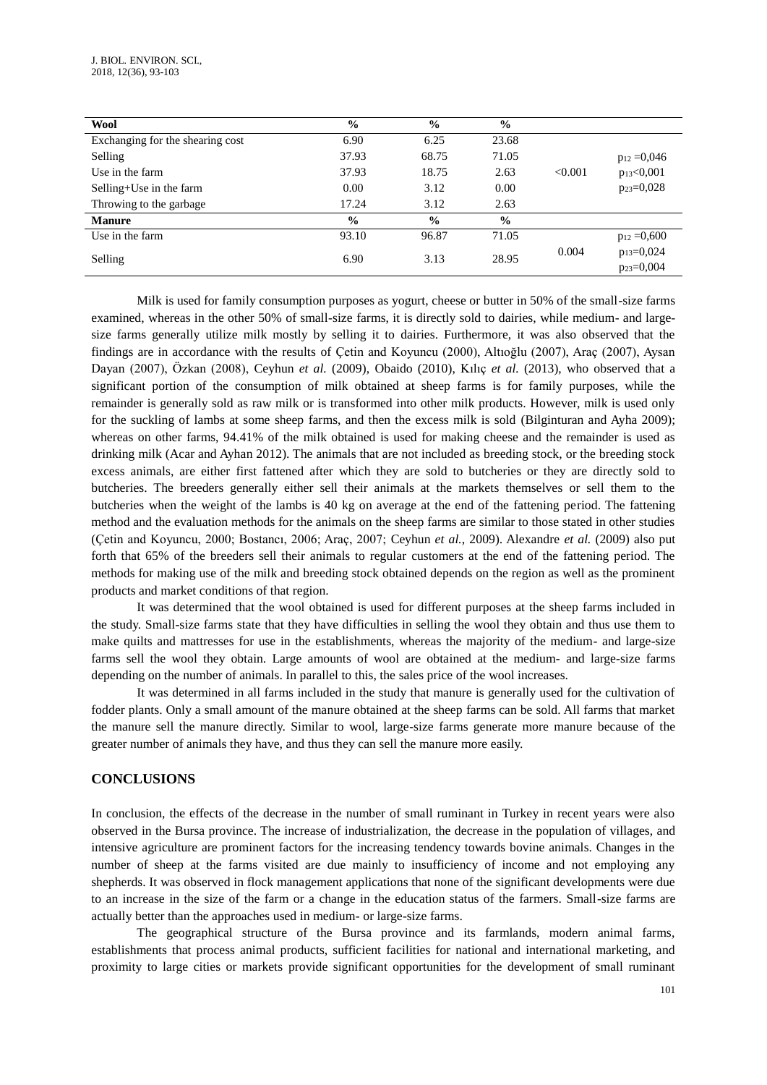| Wool                             | $\frac{0}{0}$ | $\frac{0}{0}$ | $\frac{6}{9}$ |         |                  |
|----------------------------------|---------------|---------------|---------------|---------|------------------|
| Exchanging for the shearing cost | 6.90          | 6.25          | 23.68         |         |                  |
| Selling                          | 37.93         | 68.75         | 71.05         |         | $p_{12} = 0.046$ |
| Use in the farm                  | 37.93         | 18.75         | 2.63          | < 0.001 | $p_{13} < 0,001$ |
| Selling+Use in the farm          | 0.00          | 3.12          | 0.00          |         | $p_{23}=0,028$   |
| Throwing to the garbage.         | 17.24         | 3.12          | 2.63          |         |                  |
| <b>Manure</b>                    | $\%$          | $\frac{0}{0}$ | $\frac{0}{0}$ |         |                  |
| Use in the farm                  | 93.10         | 96.87         | 71.05         |         | $p_{12} = 0,600$ |
| Selling                          | 6.90          | 3.13          | 28.95         | 0.004   | $p_{13}=0,024$   |
|                                  |               |               |               |         | $p_{23}=0,004$   |

Milk is used for family consumption purposes as yogurt, cheese or butter in 50% of the small-size farms examined, whereas in the other 50% of small-size farms, it is directly sold to dairies, while medium- and largesize farms generally utilize milk mostly by selling it to dairies. Furthermore, it was also observed that the findings are in accordance with the results of Çetin and Koyuncu (2000), Altıoğlu (2007), Araç (2007), Aysan Dayan (2007), Özkan (2008), Ceyhun *et al.* (2009), Obaido (2010), Kılıç *et al.* (2013), who observed that a significant portion of the consumption of milk obtained at sheep farms is for family purposes, while the remainder is generally sold as raw milk or is transformed into other milk products. However, milk is used only for the suckling of lambs at some sheep farms, and then the excess milk is sold (Bilginturan and Ayha 2009); whereas on other farms, 94.41% of the milk obtained is used for making cheese and the remainder is used as drinking milk (Acar and Ayhan 2012). The animals that are not included as breeding stock, or the breeding stock excess animals, are either first fattened after which they are sold to butcheries or they are directly sold to butcheries. The breeders generally either sell their animals at the markets themselves or sell them to the butcheries when the weight of the lambs is 40 kg on average at the end of the fattening period. The fattening method and the evaluation methods for the animals on the sheep farms are similar to those stated in other studies (Çetin and Koyuncu, 2000; Bostancı, 2006; Araç, 2007; Ceyhun *et al.*, 2009). Alexandre *et al.* (2009) also put forth that 65% of the breeders sell their animals to regular customers at the end of the fattening period. The methods for making use of the milk and breeding stock obtained depends on the region as well as the prominent products and market conditions of that region.

It was determined that the wool obtained is used for different purposes at the sheep farms included in the study. Small-size farms state that they have difficulties in selling the wool they obtain and thus use them to make quilts and mattresses for use in the establishments, whereas the majority of the medium- and large-size farms sell the wool they obtain. Large amounts of wool are obtained at the medium- and large-size farms depending on the number of animals. In parallel to this, the sales price of the wool increases.

It was determined in all farms included in the study that manure is generally used for the cultivation of fodder plants. Only a small amount of the manure obtained at the sheep farms can be sold. All farms that market the manure sell the manure directly. Similar to wool, large-size farms generate more manure because of the greater number of animals they have, and thus they can sell the manure more easily.

# **CONCLUSIONS**

In conclusion, the effects of the decrease in the number of small ruminant in Turkey in recent years were also observed in the Bursa province. The increase of industrialization, the decrease in the population of villages, and intensive agriculture are prominent factors for the increasing tendency towards bovine animals. Changes in the number of sheep at the farms visited are due mainly to insufficiency of income and not employing any shepherds. It was observed in flock management applications that none of the significant developments were due to an increase in the size of the farm or a change in the education status of the farmers. Small-size farms are actually better than the approaches used in medium- or large-size farms.

The geographical structure of the Bursa province and its farmlands, modern animal farms, establishments that process animal products, sufficient facilities for national and international marketing, and proximity to large cities or markets provide significant opportunities for the development of small ruminant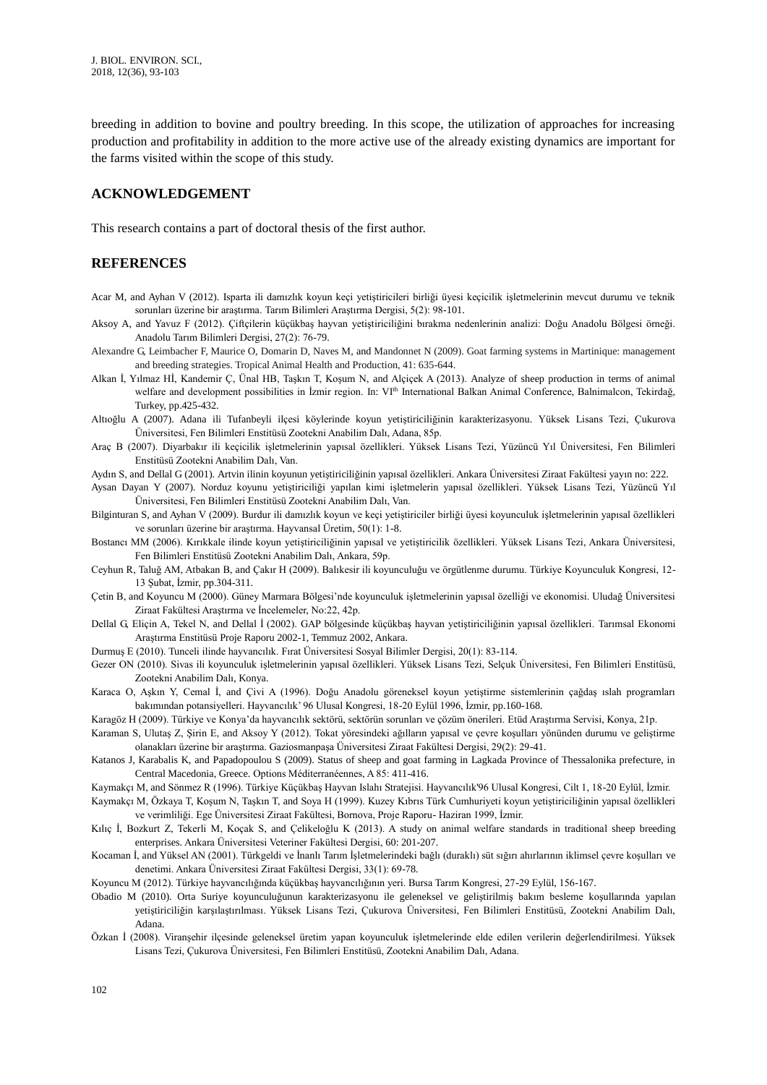breeding in addition to bovine and poultry breeding. In this scope, the utilization of approaches for increasing production and profitability in addition to the more active use of the already existing dynamics are important for the farms visited within the scope of this study.

# **ACKNOWLEDGEMENT**

This research contains a part of doctoral thesis of the first author.

# **REFERENCES**

- Acar M, and Ayhan V (2012). Isparta ili damızlık koyun keçi yetiştiricileri birliği üyesi keçicilik işletmelerinin mevcut durumu ve teknik sorunları üzerine bir araştırma. Tarım Bilimleri Araştırma Dergisi, 5(2): 98-101.
- Aksoy A, and Yavuz F (2012). Çiftçilerin küçükbaş hayvan yetiştiriciliğini bırakma nedenlerinin analizi: Doğu Anadolu Bölgesi örneği. Anadolu Tarım Bilimleri Dergisi, 27(2): 76-79.
- Alexandre G, Leimbacher F, Maurice O, Domarin D, Naves M, and Mandonnet N (2009). Goat farming systems in Martinique: management and breeding strategies. Tropical Animal Health and Production, 41: 635-644.
- Alkan İ, Yılmaz Hİ, Kandemir Ç, Ünal HB, Taşkın T, Koşum N, and Alçiçek A (2013). Analyze of sheep production in terms of animal welfare and development possibilities in İzmir region. In: VIth International Balkan Animal Conference, Balnimalcon, Tekirdağ, Turkey, pp.425-432.
- Altıoğlu A (2007). Adana ili Tufanbeyli ilçesi köylerinde koyun yetiştiriciliğinin karakterizasyonu. Yüksek Lisans Tezi, Çukurova Üniversitesi, Fen Bilimleri Enstitüsü Zootekni Anabilim Dalı, Adana, 85p.
- Araç B (2007). Diyarbakır ili keçicilik işletmelerinin yapısal özellikleri. Yüksek Lisans Tezi, Yüzüncü Yıl Üniversitesi, Fen Bilimleri Enstitüsü Zootekni Anabilim Dalı, Van.
- Aydın S, and Dellal G (2001). Artvin ilinin koyunun yetiştiriciliğinin yapısal özellikleri. Ankara Üniversitesi Ziraat Fakültesi yayın no: 222.
- Aysan Dayan Y (2007). Norduz koyunu yetiştiriciliği yapılan kimi işletmelerin yapısal özellikleri. Yüksek Lisans Tezi, Yüzüncü Yıl Üniversitesi, Fen Bilimleri Enstitüsü Zootekni Anabilim Dalı, Van.
- Bilginturan S, and Ayhan V (2009). Burdur ili damızlık koyun ve keçi yetiştiriciler birliği üyesi koyunculuk işletmelerinin yapısal özellikleri ve sorunları üzerine bir araştırma. Hayvansal Üretim, 50(1): 1-8.
- Bostancı MM (2006). Kırıkkale ilinde koyun yetiştiriciliğinin yapısal ve yetiştiricilik özellikleri. Yüksek Lisans Tezi, Ankara Üniversitesi, Fen Bilimleri Enstitüsü Zootekni Anabilim Dalı, Ankara, 59p.
- Ceyhun R, Taluğ AM, Atbakan B, and Çakır H (2009). Balıkesir ili koyunculuğu ve örgütlenme durumu. Türkiye Koyunculuk Kongresi, 12- 13 Şubat, İzmir, pp.304-311.
- Çetin B, and Koyuncu M (2000). Güney Marmara Bölgesi'nde koyunculuk işletmelerinin yapısal özelliği ve ekonomisi. Uludağ Üniversitesi Ziraat Fakültesi Araştırma ve İncelemeler, No:22, 42p.
- Dellal G, Eliçin A, Tekel N, and Dellal İ (2002). GAP bölgesinde küçükbaş hayvan yetiştiriciliğinin yapısal özellikleri. Tarımsal Ekonomi Araştırma Enstitüsü Proje Raporu 2002-1, Temmuz 2002, Ankara.
- Durmuş E (2010). Tunceli ilinde hayvancılık. Fırat Üniversitesi Sosyal Bilimler Dergisi, 20(1): 83-114.
- Gezer ON (2010). Sivas ili koyunculuk işletmelerinin yapısal özellikleri. Yüksek Lisans Tezi, Selçuk Üniversitesi, Fen Bilimleri Enstitüsü, Zootekni Anabilim Dalı, Konya.
- Karaca O, Aşkın Y, Cemal İ, and Çivi A (1996). Doğu Anadolu göreneksel koyun yetiştirme sistemlerinin çağdaş ıslah programları bakımından potansiyelleri. Hayvancılık' 96 Ulusal Kongresi, 18-20 Eylül 1996, İzmir, pp.160-168.
- Karagöz H (2009). Türkiye ve Konya'da hayvancılık sektörü, sektörün sorunları ve çözüm önerileri. Etüd Araştırma Servisi, Konya, 21p.
- Karaman S, Ulutaş Z, Şirin E, and Aksoy Y (2012). Tokat yöresindeki ağılların yapısal ve çevre koşulları yönünden durumu ve geliştirme olanakları üzerine bir araştırma. Gaziosmanpaşa Üniversitesi Ziraat Fakültesi Dergisi, 29(2): 29-41.
- Katanos J, Karabalis K, and Papadopoulou S (2009). Status of sheep and goat farming in Lagkada Province of Thessalonika prefecture, in Central Macedonia, Greece. Options Méditerranéennes, A 85: 411-416.
- Kaymakçı M, and Sönmez R (1996). Türkiye Küçükbaş Hayvan Islahı Stratejisi. Hayvancılık'96 Ulusal Kongresi, Cilt 1, 18-20 Eylül, İzmir.
- Kaymakçı M, Özkaya T, Koşum N, Taşkın T, and Soya H (1999). Kuzey Kıbrıs Türk Cumhuriyeti koyun yetiştiriciliğinin yapısal özellikleri ve verimliliği. Ege Üniversitesi Ziraat Fakültesi, Bornova, Proje Raporu- Haziran 1999, İzmir.
- Kılıç İ, Bozkurt Z, Tekerli M, Koçak S, and Çelikeloğlu K (2013). A study on animal welfare standards in traditional sheep breeding enterprises. Ankara Üniversitesi Veteriner Fakültesi Dergisi, 60: 201-207.
- Kocaman İ, and Yüksel AN (2001). Türkgeldi ve İnanlı Tarım İşletmelerindeki bağlı (duraklı) süt sığırı ahırlarının iklimsel çevre koşulları ve denetimi. Ankara Üniversitesi Ziraat Fakültesi Dergisi, 33(1): 69-78.
- Koyuncu M (2012). Türkiye hayvancılığında küçükbaş hayvancılığının yeri. Bursa Tarım Kongresi, 27-29 Eylül, 156-167.
- Obadio M (2010). Orta Suriye koyunculuğunun karakterizasyonu ile geleneksel ve geliştirilmiş bakım besleme koşullarında yapılan yetiştiriciliğin karşılaştırılması. Yüksek Lisans Tezi, Çukurova Üniversitesi, Fen Bilimleri Enstitüsü, Zootekni Anabilim Dalı, Adana.
- Özkan İ (2008). Viranşehir ilçesinde geleneksel üretim yapan koyunculuk işletmelerinde elde edilen verilerin değerlendirilmesi. Yüksek Lisans Tezi, Çukurova Üniversitesi, Fen Bilimleri Enstitüsü, Zootekni Anabilim Dalı, Adana.